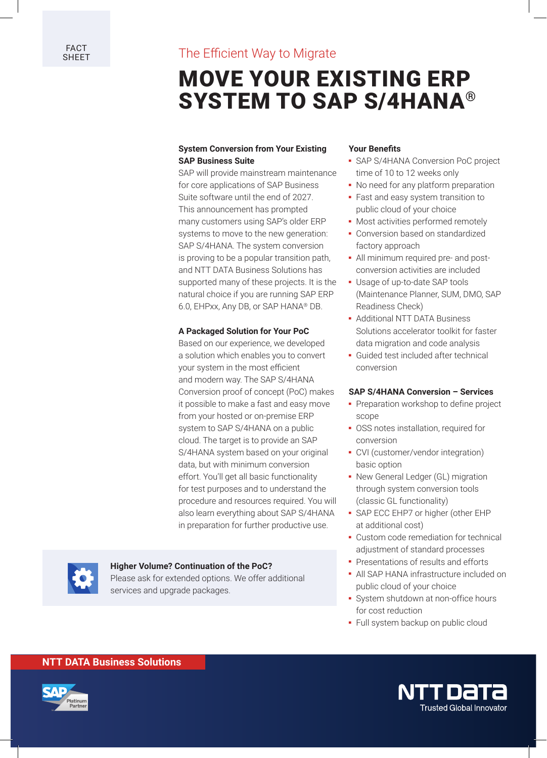# FACT The Efficient Way to Migrate

# MOVE YOUR EXISTING ERP SYSTEM TO SAP S/4HANA®

### **System Conversion from Your Existing SAP Business Suite**

SAP will provide mainstream maintenance for core applications of SAP Business Suite software until the end of 2027. This announcement has prompted many customers using SAP's older ERP systems to move to the new generation: SAP S/4HANA. The system conversion is proving to be a popular transition path, and NTT DATA Business Solutions has supported many of these projects. It is the natural choice if you are running SAP ERP 6.0, EHPxx, Any DB, or SAP HANA® DB.

#### **A Packaged Solution for Your PoC**

Based on our experience, we developed a solution which enables you to convert your system in the most efficient and modern way. The SAP S/4HANA Conversion proof of concept (PoC) makes it possible to make a fast and easy move from your hosted or on-premise ERP system to SAP S/4HANA on a public cloud. The target is to provide an SAP S/4HANA system based on your original data, but with minimum conversion effort. You'll get all basic functionality for test purposes and to understand the procedure and resources required. You will also learn everything about SAP S/4HANA in preparation for further productive use.

#### **Higher Volume? Continuation of the PoC?**

Please ask for extended options. We offer additional services and upgrade packages.

#### **Your Benefits**

- **-** SAP S/4HANA Conversion PoC project time of 10 to 12 weeks only
- **-** No need for any platform preparation
- **-** Fast and easy system transition to public cloud of your choice
- **-** Most activities performed remotely
- **-** Conversion based on standardized factory approach
- **-** All minimum required pre- and postconversion activities are included
- **-** Usage of up-to-date SAP tools (Maintenance Planner, SUM, DMO, SAP Readiness Check)
- **-** Additional NTT DATA Business Solutions accelerator toolkit for faster data migration and code analysis
- **-** Guided test included after technical conversion

#### **SAP S/4HANA Conversion – Services**

- **-** Preparation workshop to define project scope
- **-** OSS notes installation, required for conversion
- **-** CVI (customer/vendor integration) basic option
- **-** New General Ledger (GL) migration through system conversion tools (classic GL functionality)
- **-** SAP ECC EHP7 or higher (other EHP at additional cost)
- **-** Custom code remediation for technical adjustment of standard processes
- **-** Presentations of results and efforts
- **-** All SAP HANA infrastructure included on public cloud of your choice
- **-** System shutdown at non-office hours for cost reduction
- **-** Full system backup on public cloud